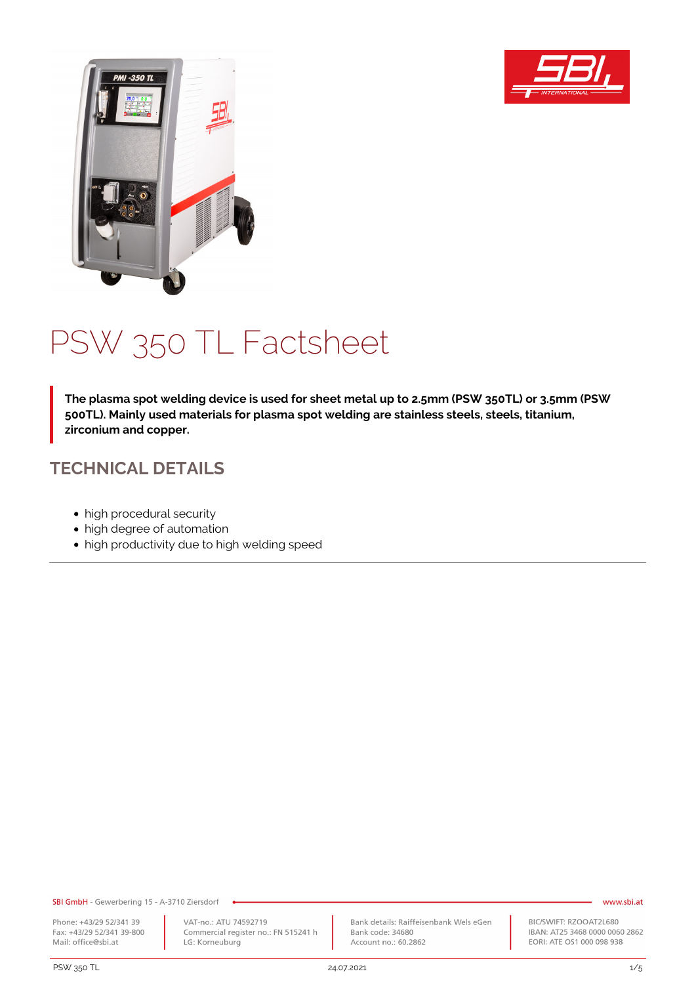



# PSW 350 TL Factsheet

**The plasma spot welding device is used for sheet metal up to 2.5mm (PSW 350TL) or 3.5mm (PSW 500TL). Mainly used materials for plasma spot welding are stainless steels, steels, titanium, zirconium and copper.**

## **TECHNICAL DETAILS**

- high procedural security
- high degree of automation
- high productivity due to high welding speed

SBI GmbH - Gewerbering 15 - A-3710 Ziersdorf

Phone: +43/29 52/341 39 Fax: +43/29 52/341 39-800 Mail: office@sbi.at

VAT-no.: ATU 74592719 Commercial register no.: FN 515241 h LG: Korneuburg

Bank details: Raiffeisenbank Wels eGen Bank code: 34680 Account no.: 60.2862

#### www.sbi.at

BIC/SWIFT: RZOOAT2L680 IBAN: AT25 3468 0000 0060 2862 EORI: ATE OS1 000 098 938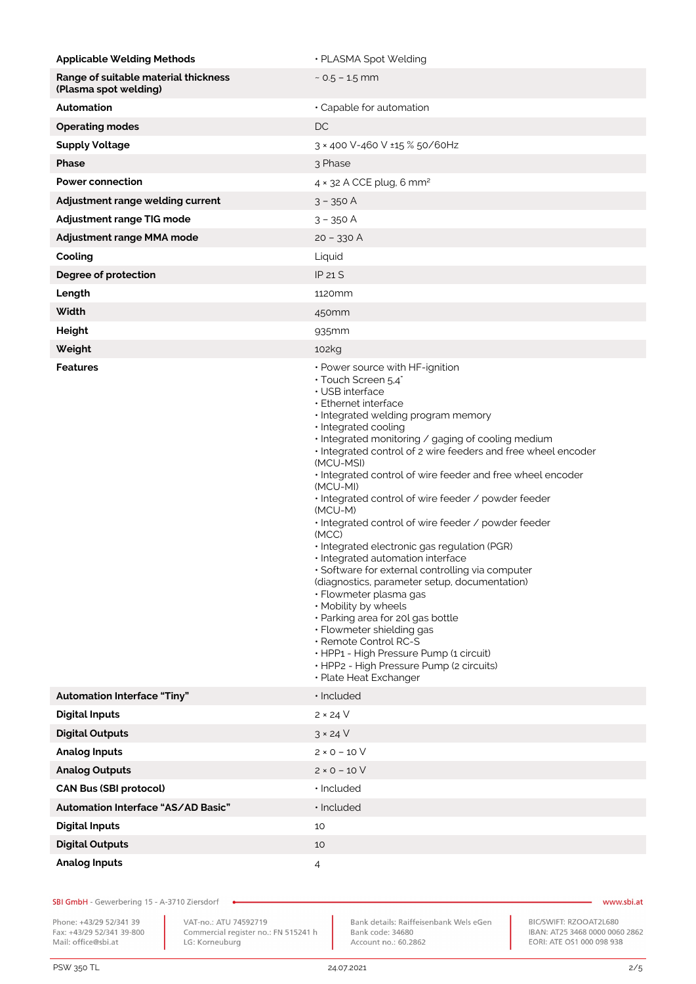| <b>Applicable Welding Methods</b>                             | · PLASMA Spot Welding                                                                                                                                                                                                                                                                                                                                                                                                                                                                                                                                                                                                                                                                                                                                                                                                                                                                                                                                                          |
|---------------------------------------------------------------|--------------------------------------------------------------------------------------------------------------------------------------------------------------------------------------------------------------------------------------------------------------------------------------------------------------------------------------------------------------------------------------------------------------------------------------------------------------------------------------------------------------------------------------------------------------------------------------------------------------------------------------------------------------------------------------------------------------------------------------------------------------------------------------------------------------------------------------------------------------------------------------------------------------------------------------------------------------------------------|
| Range of suitable material thickness<br>(Plasma spot welding) | $\sim$ 0.5 – 1.5 mm                                                                                                                                                                                                                                                                                                                                                                                                                                                                                                                                                                                                                                                                                                                                                                                                                                                                                                                                                            |
| Automation                                                    | · Capable for automation                                                                                                                                                                                                                                                                                                                                                                                                                                                                                                                                                                                                                                                                                                                                                                                                                                                                                                                                                       |
| <b>Operating modes</b>                                        | DC                                                                                                                                                                                                                                                                                                                                                                                                                                                                                                                                                                                                                                                                                                                                                                                                                                                                                                                                                                             |
| <b>Supply Voltage</b>                                         | 3 × 400 V-460 V ±15 % 50/60Hz                                                                                                                                                                                                                                                                                                                                                                                                                                                                                                                                                                                                                                                                                                                                                                                                                                                                                                                                                  |
| Phase                                                         | 3 Phase                                                                                                                                                                                                                                                                                                                                                                                                                                                                                                                                                                                                                                                                                                                                                                                                                                                                                                                                                                        |
| <b>Power connection</b>                                       | 4 × 32 A CCE plug, 6 mm <sup>2</sup>                                                                                                                                                                                                                                                                                                                                                                                                                                                                                                                                                                                                                                                                                                                                                                                                                                                                                                                                           |
| Adjustment range welding current                              | $3 - 350$ A                                                                                                                                                                                                                                                                                                                                                                                                                                                                                                                                                                                                                                                                                                                                                                                                                                                                                                                                                                    |
| Adjustment range TIG mode                                     | $3 - 350$ A                                                                                                                                                                                                                                                                                                                                                                                                                                                                                                                                                                                                                                                                                                                                                                                                                                                                                                                                                                    |
| Adjustment range MMA mode                                     | $20 - 330$ A                                                                                                                                                                                                                                                                                                                                                                                                                                                                                                                                                                                                                                                                                                                                                                                                                                                                                                                                                                   |
| Cooling                                                       | Liquid                                                                                                                                                                                                                                                                                                                                                                                                                                                                                                                                                                                                                                                                                                                                                                                                                                                                                                                                                                         |
| Degree of protection                                          | <b>IP 21 S</b>                                                                                                                                                                                                                                                                                                                                                                                                                                                                                                                                                                                                                                                                                                                                                                                                                                                                                                                                                                 |
| Length                                                        | 1120mm                                                                                                                                                                                                                                                                                                                                                                                                                                                                                                                                                                                                                                                                                                                                                                                                                                                                                                                                                                         |
| Width                                                         | 450mm                                                                                                                                                                                                                                                                                                                                                                                                                                                                                                                                                                                                                                                                                                                                                                                                                                                                                                                                                                          |
| Height                                                        | 935mm                                                                                                                                                                                                                                                                                                                                                                                                                                                                                                                                                                                                                                                                                                                                                                                                                                                                                                                                                                          |
| Weight                                                        | 102kg                                                                                                                                                                                                                                                                                                                                                                                                                                                                                                                                                                                                                                                                                                                                                                                                                                                                                                                                                                          |
| <b>Features</b>                                               | • Power source with HF-ignition<br>$\cdot$ Touch Screen 5.4"<br>· USB interface<br>· Ethernet interface<br>· Integrated welding program memory<br>· Integrated cooling<br>· Integrated monitoring / gaging of cooling medium<br>. Integrated control of 2 wire feeders and free wheel encoder<br>(MCU-MSI)<br>. Integrated control of wire feeder and free wheel encoder<br>(MCU-MI)<br>· Integrated control of wire feeder / powder feeder<br>(MCU-M)<br>· Integrated control of wire feeder / powder feeder<br>(MCC)<br>· Integrated electronic gas regulation (PGR)<br>· Integrated automation interface<br>• Software for external controlling via computer<br>(diagnostics, parameter setup, documentation)<br>· Flowmeter plasma gas<br>· Mobility by wheels<br>· Parking area for 20l gas bottle<br>· Flowmeter shielding gas<br>· Remote Control RC-S<br>· HPP1 - High Pressure Pump (1 circuit)<br>· HPP2 - High Pressure Pump (2 circuits)<br>• Plate Heat Exchanger |
| <b>Automation Interface "Tiny"</b>                            | · Included                                                                                                                                                                                                                                                                                                                                                                                                                                                                                                                                                                                                                                                                                                                                                                                                                                                                                                                                                                     |
| <b>Digital Inputs</b>                                         | $2 \times 24$ V                                                                                                                                                                                                                                                                                                                                                                                                                                                                                                                                                                                                                                                                                                                                                                                                                                                                                                                                                                |
| <b>Digital Outputs</b>                                        | $3 \times 24$ V                                                                                                                                                                                                                                                                                                                                                                                                                                                                                                                                                                                                                                                                                                                                                                                                                                                                                                                                                                |
| <b>Analog Inputs</b>                                          | $2 × 0 - 10 V$                                                                                                                                                                                                                                                                                                                                                                                                                                                                                                                                                                                                                                                                                                                                                                                                                                                                                                                                                                 |
| <b>Analog Outputs</b>                                         | 2 × 0 – 10 V                                                                                                                                                                                                                                                                                                                                                                                                                                                                                                                                                                                                                                                                                                                                                                                                                                                                                                                                                                   |
| <b>CAN Bus (SBI protocol)</b>                                 | · Included                                                                                                                                                                                                                                                                                                                                                                                                                                                                                                                                                                                                                                                                                                                                                                                                                                                                                                                                                                     |
| Automation Interface "AS/AD Basic"                            | · Included                                                                                                                                                                                                                                                                                                                                                                                                                                                                                                                                                                                                                                                                                                                                                                                                                                                                                                                                                                     |
| <b>Digital Inputs</b>                                         | 10                                                                                                                                                                                                                                                                                                                                                                                                                                                                                                                                                                                                                                                                                                                                                                                                                                                                                                                                                                             |
| <b>Digital Outputs</b>                                        | 10                                                                                                                                                                                                                                                                                                                                                                                                                                                                                                                                                                                                                                                                                                                                                                                                                                                                                                                                                                             |
| <b>Analog Inputs</b>                                          | 4                                                                                                                                                                                                                                                                                                                                                                                                                                                                                                                                                                                                                                                                                                                                                                                                                                                                                                                                                                              |

SBI GmbH - Gewerbering 15 - A-3710 Ziersdorf

Phone: +43/29 52/341 39<br>Fax: +43/29 52/341 39-800<br>Mail: office@sbi.at

VAT-no.: ATU 74592719<br>Commercial register no.: FN 515241 h<br>LG: Korneuburg

 $\bullet$ 

Bank details: Raiffeisenbank Wels eGen<br>Bank code: 34680 Account no.: 60.2862

## www.sbi.at

BIC/SWIFT: RZOOAT2L680<br>IBAN: AT25 3468 0000 0060 2862<br>EORI: ATE OS1 000 098 938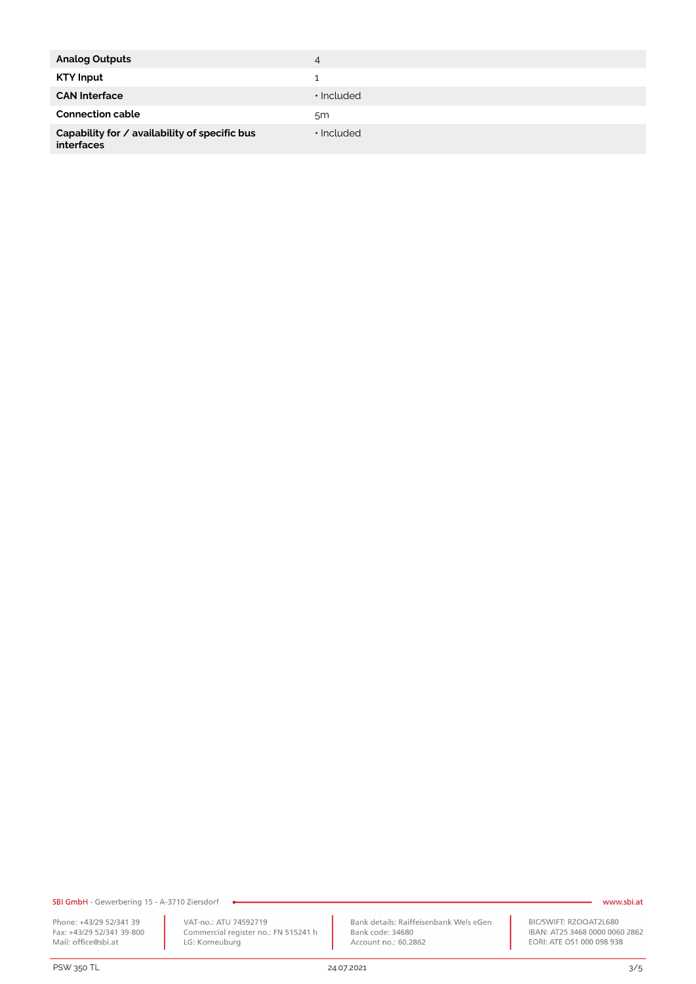| <b>Analog Outputs</b>                                              | 4                |
|--------------------------------------------------------------------|------------------|
| <b>KTY Input</b>                                                   |                  |
| <b>CAN Interface</b>                                               | $\cdot$ Included |
| <b>Connection cable</b>                                            | 5 <sub>m</sub>   |
| Capability for / availability of specific bus<br><b>interfaces</b> | $\cdot$ Included |

SBI GmbH - Gewerbering 15 - A-3710 Ziersdorf

Phone: +43/29 52/341 39 Fridde: 143/29 52/341 39-800<br>Fax: +43/29 52/341 39-800<br>Mail: office@sbi.at

PSW 350 TL 24.07.2021 3/5

VAT-no.: ATU 74592719<br>Commercial register no.: FN 515241 h<br>LG: Korneuburg

 $\bullet$ 

Bank details: Raiffeisenbank Wels eGen<br>Bank code: 34680 Account no.: 60.2862

#### www.sbi.at

BIC/SWIFT: RZOOAT2L680<br>IBAN: AT25 3468 0000 0060 2862<br>EORI: ATE OS1 000 098 938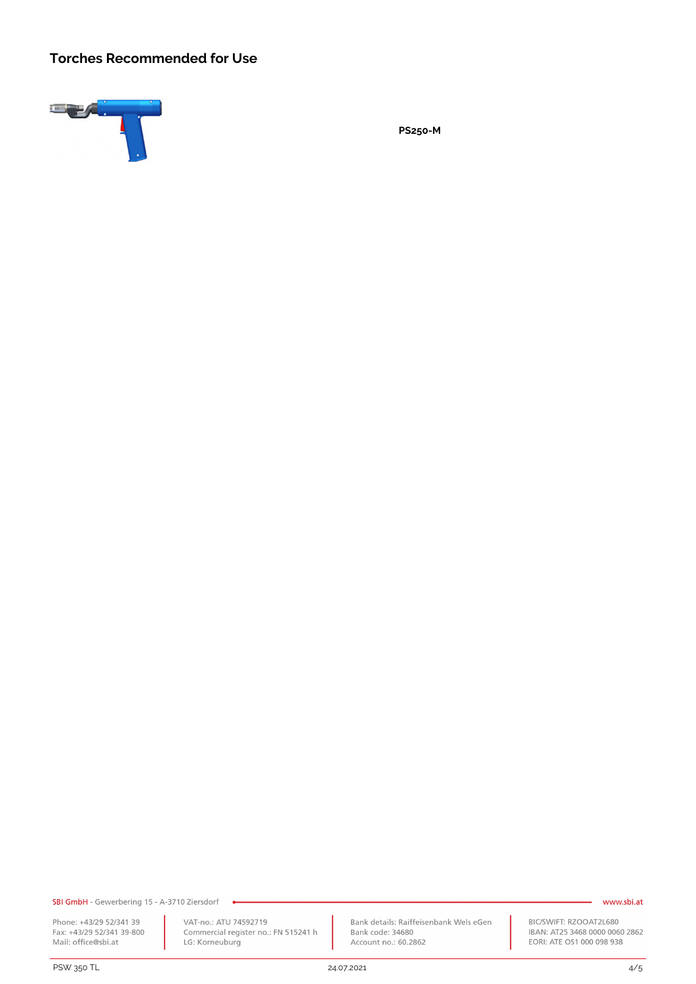### **Torches Recommended for Use**



**PS250-M**

SBI GmbH - Gewerbering 15 - A-3710 Ziersdorf

Phone: +43/29 52/341 39 Fridde: 143/29 52/341 39-800<br>Fax: +43/29 52/341 39-800<br>Mail: office@sbi.at

PSW 350 TL 24.07.2021 4/5

VAT-no.: ATU 74592719 Commercial register no.: FN 515241 h LG: Korneuburg

Bank details: Raiffeisenbank Wels eGen Bank code: 34680 Account no.: 60.2862

#### - www.sbi.at

BIC/SWIFT: RZOOAT2L680 IBAN: AT25 3468 0000 0060 2862 EORI: ATE OS1 000 098 938